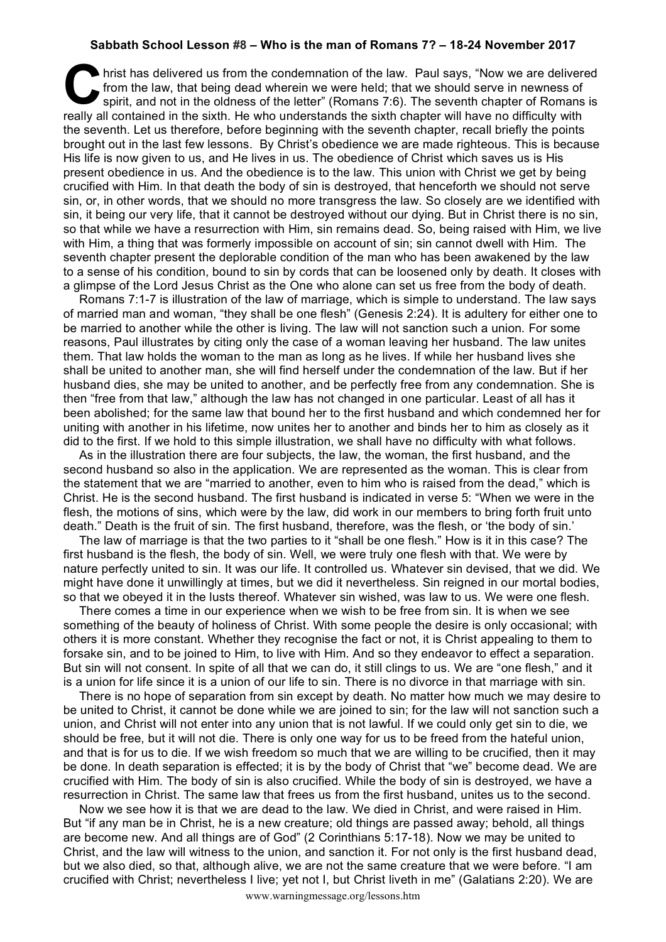## **Sabbath School Lesson #8 – Who is the man of Romans 7? – 18-24 November 2017**

hrist has delivered us from the condemnation of the law. Paul says, "Now we are delivered from the law, that being dead wherein we were held; that we should serve in newness of spirit, and not in the oldness of the letter" from the law, that being dead wherein we were held; that we should serve in newness of spirit, and not in the oldness of the letter" (Romans 7:6). The seventh chapter of Romans is really all contained in the sixth. He who understands the sixth chapter will have no difficulty with the seventh. Let us therefore, before beginning with the seventh chapter, recall briefly the points brought out in the last few lessons. By Christ's obedience we are made righteous. This is because His life is now given to us, and He lives in us. The obedience of Christ which saves us is His present obedience in us. And the obedience is to the law. This union with Christ we get by being crucified with Him. In that death the body of sin is destroyed, that henceforth we should not serve sin, or, in other words, that we should no more transgress the law. So closely are we identified with sin, it being our very life, that it cannot be destroyed without our dying. But in Christ there is no sin, so that while we have a resurrection with Him, sin remains dead. So, being raised with Him, we live with Him, a thing that was formerly impossible on account of sin; sin cannot dwell with Him. The seventh chapter present the deplorable condition of the man who has been awakened by the law to a sense of his condition, bound to sin by cords that can be loosened only by death. It closes with a glimpse of the Lord Jesus Christ as the One who alone can set us free from the body of death.

Romans 7:1-7 is illustration of the law of marriage, which is simple to understand. The law says of married man and woman, "they shall be one flesh" (Genesis 2:24). It is adultery for either one to be married to another while the other is living. The law will not sanction such a union. For some reasons, Paul illustrates by citing only the case of a woman leaving her husband. The law unites them. That law holds the woman to the man as long as he lives. If while her husband lives she shall be united to another man, she will find herself under the condemnation of the law. But if her husband dies, she may be united to another, and be perfectly free from any condemnation. She is then "free from that law," although the law has not changed in one particular. Least of all has it been abolished; for the same law that bound her to the first husband and which condemned her for uniting with another in his lifetime, now unites her to another and binds her to him as closely as it did to the first. If we hold to this simple illustration, we shall have no difficulty with what follows.

As in the illustration there are four subjects, the law, the woman, the first husband, and the second husband so also in the application. We are represented as the woman. This is clear from the statement that we are "married to another, even to him who is raised from the dead," which is Christ. He is the second husband. The first husband is indicated in verse 5: "When we were in the flesh, the motions of sins, which were by the law, did work in our members to bring forth fruit unto death." Death is the fruit of sin. The first husband, therefore, was the flesh, or 'the body of sin.'

The law of marriage is that the two parties to it "shall be one flesh." How is it in this case? The first husband is the flesh, the body of sin. Well, we were truly one flesh with that. We were by nature perfectly united to sin. It was our life. It controlled us. Whatever sin devised, that we did. We might have done it unwillingly at times, but we did it nevertheless. Sin reigned in our mortal bodies, so that we obeyed it in the lusts thereof. Whatever sin wished, was law to us. We were one flesh.

There comes a time in our experience when we wish to be free from sin. It is when we see something of the beauty of holiness of Christ. With some people the desire is only occasional; with others it is more constant. Whether they recognise the fact or not, it is Christ appealing to them to forsake sin, and to be joined to Him, to live with Him. And so they endeavor to effect a separation. But sin will not consent. In spite of all that we can do, it still clings to us. We are "one flesh," and it is a union for life since it is a union of our life to sin. There is no divorce in that marriage with sin.

There is no hope of separation from sin except by death. No matter how much we may desire to be united to Christ, it cannot be done while we are joined to sin; for the law will not sanction such a union, and Christ will not enter into any union that is not lawful. If we could only get sin to die, we should be free, but it will not die. There is only one way for us to be freed from the hateful union, and that is for us to die. If we wish freedom so much that we are willing to be crucified, then it may be done. In death separation is effected; it is by the body of Christ that "we" become dead. We are crucified with Him. The body of sin is also crucified. While the body of sin is destroyed, we have a resurrection in Christ. The same law that frees us from the first husband, unites us to the second.

Now we see how it is that we are dead to the law. We died in Christ, and were raised in Him. But "if any man be in Christ, he is a new creature; old things are passed away; behold, all things are become new. And all things are of God" (2 Corinthians 5:17-18). Now we may be united to Christ, and the law will witness to the union, and sanction it. For not only is the first husband dead, but we also died, so that, although alive, we are not the same creature that we were before. "I am crucified with Christ; nevertheless I live; yet not I, but Christ liveth in me" (Galatians 2:20). We are